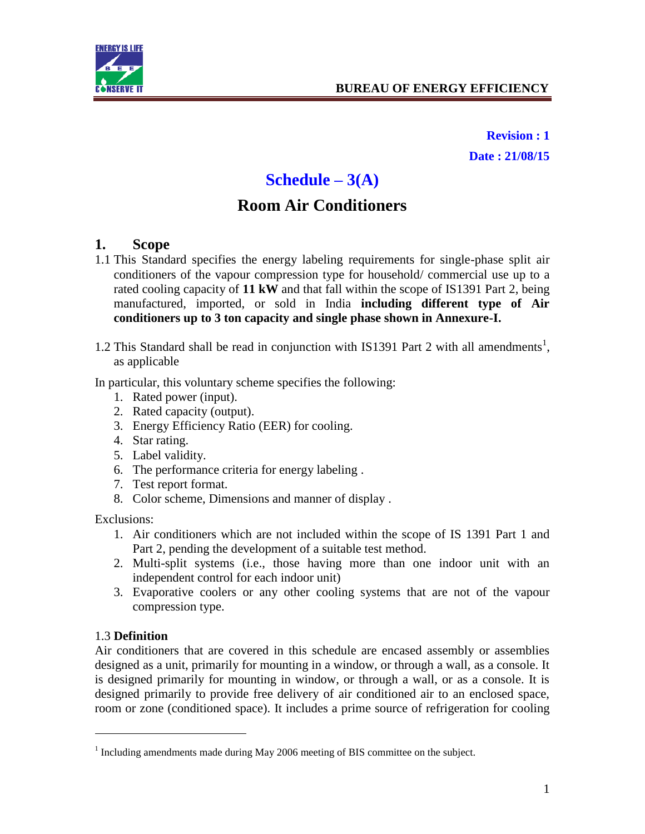

**Revision : 1 Date : 21/08/15**

# **Schedule – 3(A)**

# **Room Air Conditioners**

#### **1. Scope**

- 1.1 This Standard specifies the energy labeling requirements for single-phase split air conditioners of the vapour compression type for household/ commercial use up to a rated cooling capacity of **11 kW** and that fall within the scope of IS1391 Part 2, being manufactured, imported, or sold in India **including different type of Air conditioners up to 3 ton capacity and single phase shown in Annexure-I.**
- 1.2 This Standard shall be read in conjunction with IS1391 Part 2 with all amendments<sup>1</sup>, as applicable

In particular, this voluntary scheme specifies the following:

- 1. Rated power (input).
- 2. Rated capacity (output).
- 3. Energy Efficiency Ratio (EER) for cooling.
- 4. Star rating.
- 5. Label validity.
- 6. The performance criteria for energy labeling .
- 7. Test report format.
- 8. Color scheme, Dimensions and manner of display .

Exclusions:

- 1. Air conditioners which are not included within the scope of IS 1391 Part 1 and Part 2, pending the development of a suitable test method.
- 2. Multi-split systems (i.e., those having more than one indoor unit with an independent control for each indoor unit)
- 3. Evaporative coolers or any other cooling systems that are not of the vapour compression type.

#### 1.3 **Definition**

 $\overline{a}$ 

Air conditioners that are covered in this schedule are encased assembly or assemblies designed as a unit, primarily for mounting in a window, or through a wall, as a console. It is designed primarily for mounting in window, or through a wall, or as a console. It is designed primarily to provide free delivery of air conditioned air to an enclosed space, room or zone (conditioned space). It includes a prime source of refrigeration for cooling

 $1$  Including amendments made during May 2006 meeting of BIS committee on the subject.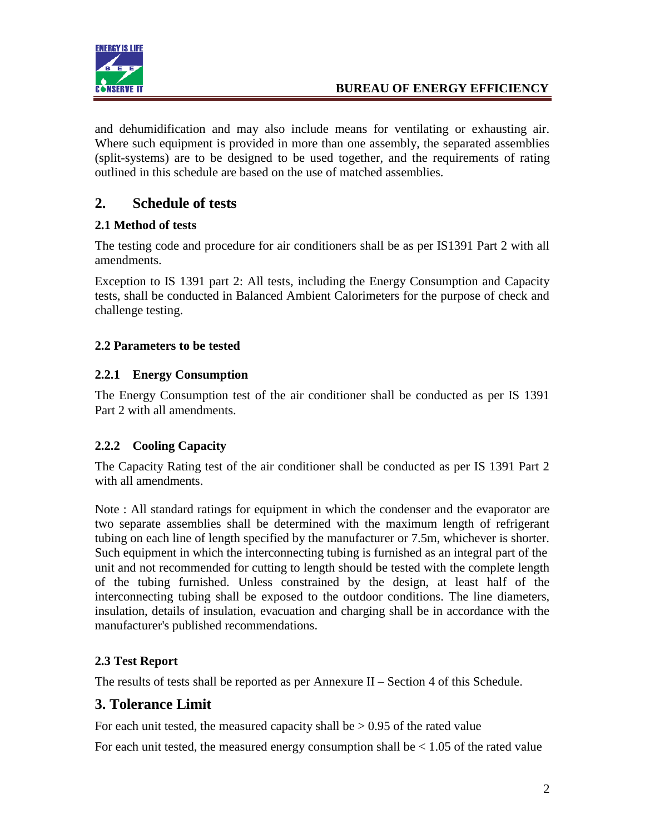

and dehumidification and may also include means for ventilating or exhausting air. Where such equipment is provided in more than one assembly, the separated assemblies (split-systems) are to be designed to be used together, and the requirements of rating outlined in this schedule are based on the use of matched assemblies.

## **2. Schedule of tests**

#### **2.1 Method of tests**

The testing code and procedure for air conditioners shall be as per IS1391 Part 2 with all amendments.

Exception to IS 1391 part 2: All tests, including the Energy Consumption and Capacity tests, shall be conducted in Balanced Ambient Calorimeters for the purpose of check and challenge testing.

#### **2.2 Parameters to be tested**

#### **2.2.1 Energy Consumption**

The Energy Consumption test of the air conditioner shall be conducted as per IS 1391 Part 2 with all amendments.

### **2.2.2 Cooling Capacity**

The Capacity Rating test of the air conditioner shall be conducted as per IS 1391 Part 2 with all amendments.

Note : All standard ratings for equipment in which the condenser and the evaporator are two separate assemblies shall be determined with the maximum length of refrigerant tubing on each line of length specified by the manufacturer or 7.5m, whichever is shorter. Such equipment in which the interconnecting tubing is furnished as an integral part of the unit and not recommended for cutting to length should be tested with the complete length of the tubing furnished. Unless constrained by the design, at least half of the interconnecting tubing shall be exposed to the outdoor conditions. The line diameters, insulation, details of insulation, evacuation and charging shall be in accordance with the manufacturer's published recommendations.

### **2.3 Test Report**

The results of tests shall be reported as per Annexure II – Section 4 of this Schedule.

### **3. Tolerance Limit**

For each unit tested, the measured capacity shall be  $> 0.95$  of the rated value

For each unit tested, the measured energy consumption shall be  $< 1.05$  of the rated value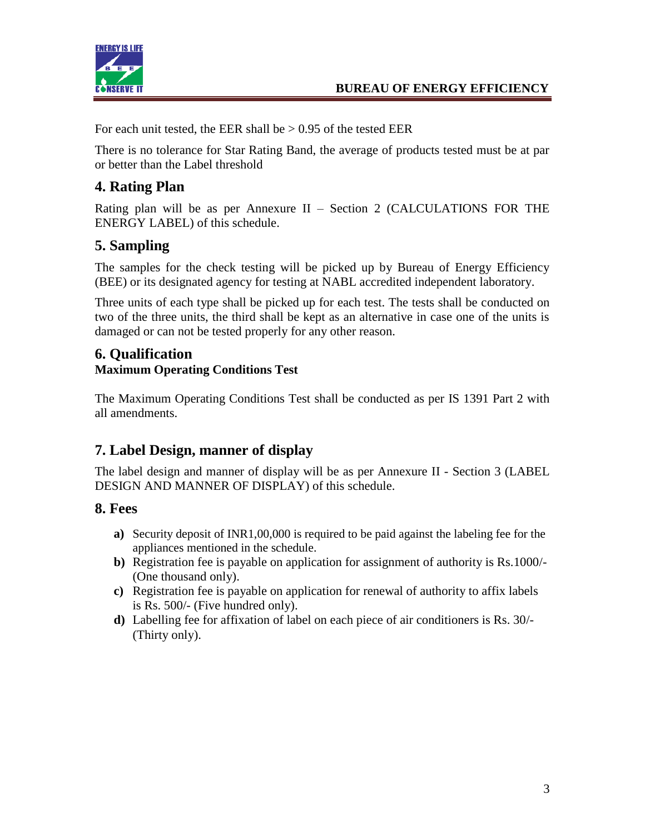

For each unit tested, the EER shall be  $> 0.95$  of the tested EER

There is no tolerance for Star Rating Band, the average of products tested must be at par or better than the Label threshold

## **4. Rating Plan**

Rating plan will be as per Annexure II – Section 2 (CALCULATIONS FOR THE ENERGY LABEL) of this schedule.

# **5. Sampling**

The samples for the check testing will be picked up by Bureau of Energy Efficiency (BEE) or its designated agency for testing at NABL accredited independent laboratory.

Three units of each type shall be picked up for each test. The tests shall be conducted on two of the three units, the third shall be kept as an alternative in case one of the units is damaged or can not be tested properly for any other reason.

#### **6. Qualification Maximum Operating Conditions Test**

The Maximum Operating Conditions Test shall be conducted as per IS 1391 Part 2 with all amendments.

### **7. Label Design, manner of display**

The label design and manner of display will be as per Annexure II - Section 3 (LABEL DESIGN AND MANNER OF DISPLAY) of this schedule.

### **8. Fees**

- **a)** Security deposit of INR1,00,000 is required to be paid against the labeling fee for the appliances mentioned in the schedule.
- **b)** Registration fee is payable on application for assignment of authority is Rs.1000/- (One thousand only).
- **c)** Registration fee is payable on application for renewal of authority to affix labels is Rs. 500/- (Five hundred only).
- **d)** Labelling fee for affixation of label on each piece of air conditioners is Rs. 30/- (Thirty only).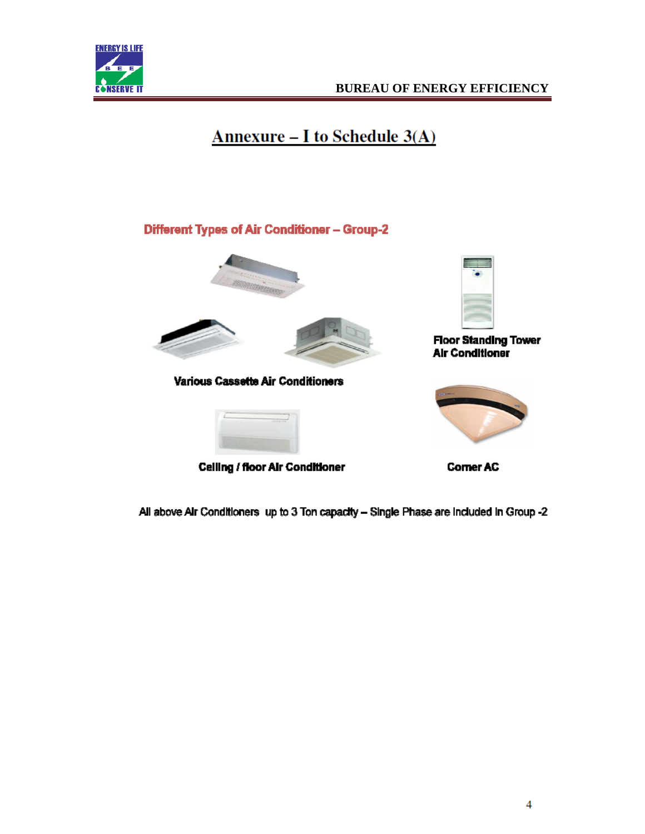

# **Annexure - I to Schedule 3(A)**

#### Different Types of Air Conditioner - Group-2





Various Cassette Air Conditioners



Celling / floor Air Conditioner



**Floor Standing Tower Air Conditioner** 



**Corner AC** 

All above Air Conditioners up to 3 Ton capacity - Single Phase are included in Group -2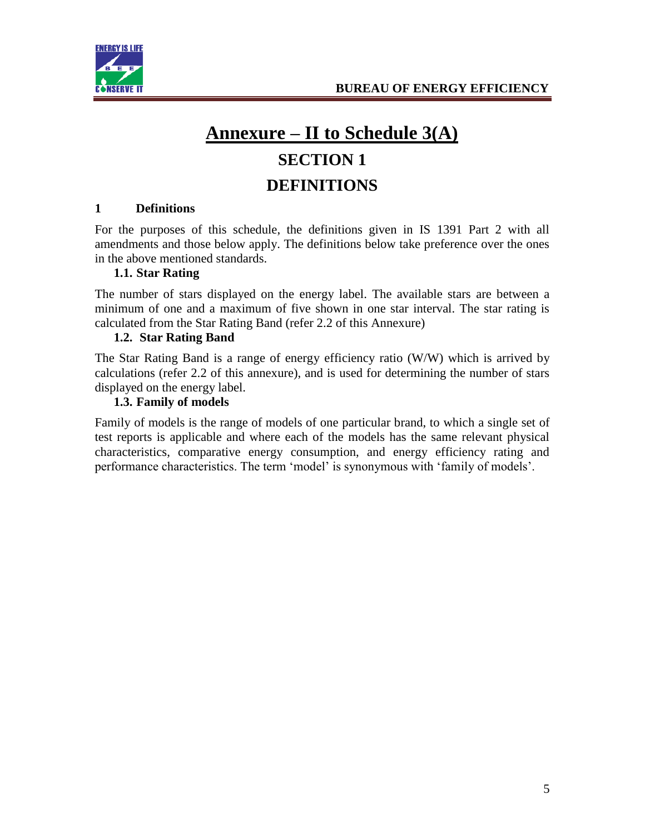



# **Annexure – II to Schedule 3(A) SECTION 1 DEFINITIONS**

#### **1 Definitions**

For the purposes of this schedule, the definitions given in IS 1391 Part 2 with all amendments and those below apply. The definitions below take preference over the ones in the above mentioned standards.

#### **1.1. Star Rating**

The number of stars displayed on the energy label. The available stars are between a minimum of one and a maximum of five shown in one star interval. The star rating is calculated from the Star Rating Band (refer 2.2 of this Annexure)

#### **1.2. Star Rating Band**

The Star Rating Band is a range of energy efficiency ratio (W/W) which is arrived by calculations (refer 2.2 of this annexure), and is used for determining the number of stars displayed on the energy label.

#### **1.3. Family of models**

Family of models is the range of models of one particular brand, to which a single set of test reports is applicable and where each of the models has the same relevant physical characteristics, comparative energy consumption, and energy efficiency rating and performance characteristics. The term 'model' is synonymous with 'family of models'.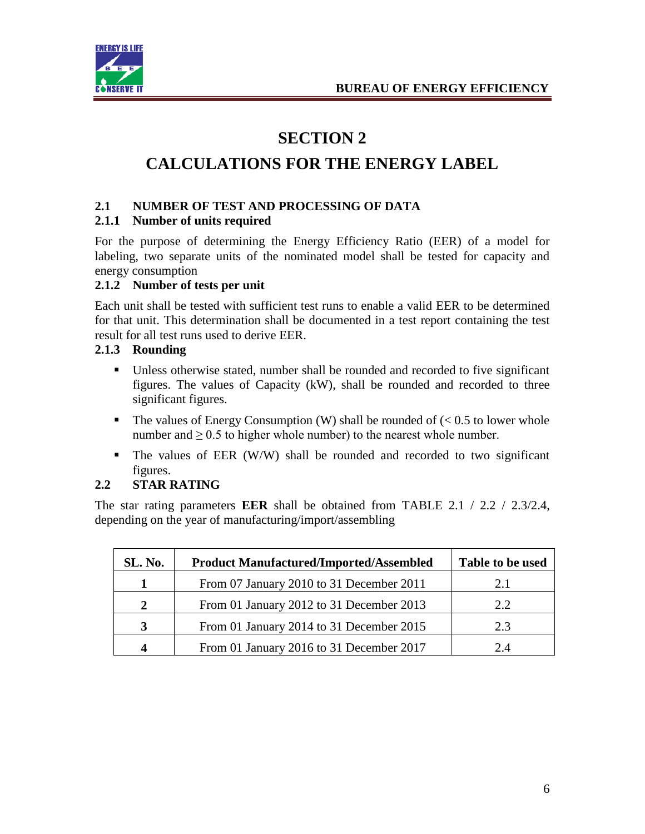

# **SECTION 2**

# **CALCULATIONS FOR THE ENERGY LABEL**

#### **2.1 NUMBER OF TEST AND PROCESSING OF DATA**

#### **2.1.1 Number of units required**

For the purpose of determining the Energy Efficiency Ratio (EER) of a model for labeling, two separate units of the nominated model shall be tested for capacity and energy consumption

#### **2.1.2 Number of tests per unit**

Each unit shall be tested with sufficient test runs to enable a valid EER to be determined for that unit. This determination shall be documented in a test report containing the test result for all test runs used to derive EER.

#### **2.1.3 Rounding**

- Unless otherwise stated, number shall be rounded and recorded to five significant figures. The values of Capacity (kW), shall be rounded and recorded to three significant figures.
- The values of Energy Consumption (W) shall be rounded of  $\ll 0.5$  to lower whole number and  $\geq 0.5$  to higher whole number) to the nearest whole number.
- The values of EER (W/W) shall be rounded and recorded to two significant figures.

#### **2.2 STAR RATING**

The star rating parameters **EER** shall be obtained from TABLE 2.1 / 2.2 / 2.3/2.4, depending on the year of manufacturing/import/assembling

| SL. No. | <b>Product Manufactured/Imported/Assembled</b> | Table to be used |
|---------|------------------------------------------------|------------------|
|         | From 07 January 2010 to 31 December 2011       | 2.1              |
| 2       | From 01 January 2012 to 31 December 2013       | 2.2              |
| 3       | From 01 January 2014 to 31 December 2015       | 2.3              |
| 4       | From 01 January 2016 to 31 December 2017       | 2.4              |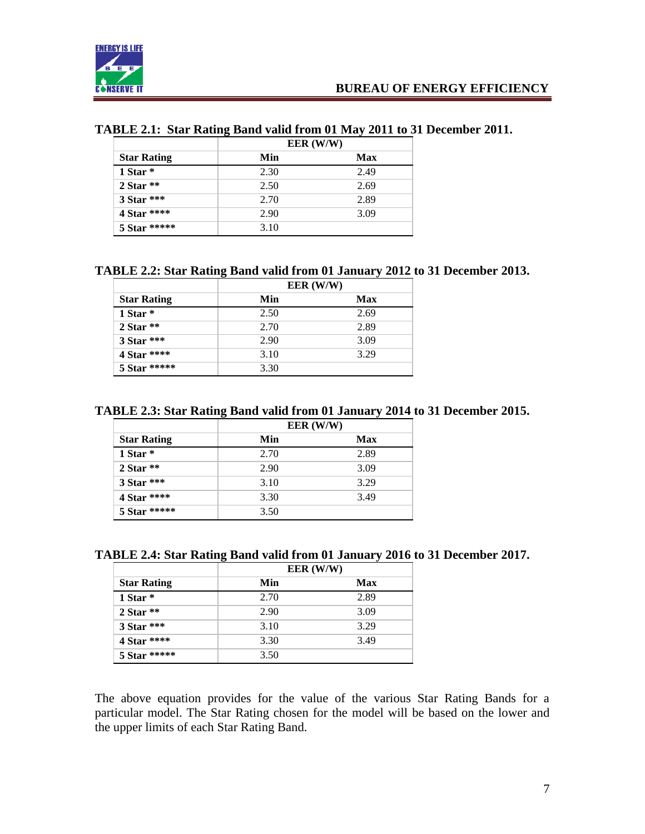

#### **TABLE 2.1: Star Rating Band valid from 01 May 2011 to 31 December 2011.**

|                    | EER (W/W) |      |
|--------------------|-----------|------|
| <b>Star Rating</b> | Min       | Max  |
| 1 Star $*$         | 2.30      | 2.49 |
| $2$ Star $**$      | 2.50      | 2.69 |
| $3$ Star ***       | 2.70      | 2.89 |
| 4 Star ****        | 2.90      | 3.09 |
| 5 Star *****       | 3.10      |      |

#### **TABLE 2.2: Star Rating Band valid from 01 January 2012 to 31 December 2013.**

|                    | EER (W/W) |      |
|--------------------|-----------|------|
| <b>Star Rating</b> | Min       | Max  |
| 1 Star $*$         | 2.50      | 2.69 |
| $2$ Star $**$      | 2.70      | 2.89 |
| 3 Star ***         | 2.90      | 3.09 |
| 4 Star ****        | 3.10      | 3.29 |
| 5 Star *****       | 3.30      |      |

#### **TABLE 2.3: Star Rating Band valid from 01 January 2014 to 31 December 2015.**

|                    | EER (W/W) |      |
|--------------------|-----------|------|
| <b>Star Rating</b> | Min       | Max  |
| 1 Star $*$         | 2.70      | 2.89 |
| $2$ Star $**$      | 2.90      | 3.09 |
| 3 Star ***         | 3.10      | 3.29 |
| 4 Star ****        | 3.30      | 3.49 |
| 5 Star *****       | 3.50      |      |

#### **TABLE 2.4: Star Rating Band valid from 01 January 2016 to 31 December 2017.**

|                    | EER (W/W) |      |
|--------------------|-----------|------|
| <b>Star Rating</b> | Min       | Max  |
| 1 Star $*$         | 2.70      | 2.89 |
| $2$ Star $**$      | 2.90      | 3.09 |
| $3$ Star ***       | 3.10      | 3.29 |
| 4 Star ****        | 3.30      | 3.49 |
| 5 Star *****       | 3.50      |      |

The above equation provides for the value of the various Star Rating Bands for a particular model. The Star Rating chosen for the model will be based on the lower and the upper limits of each Star Rating Band.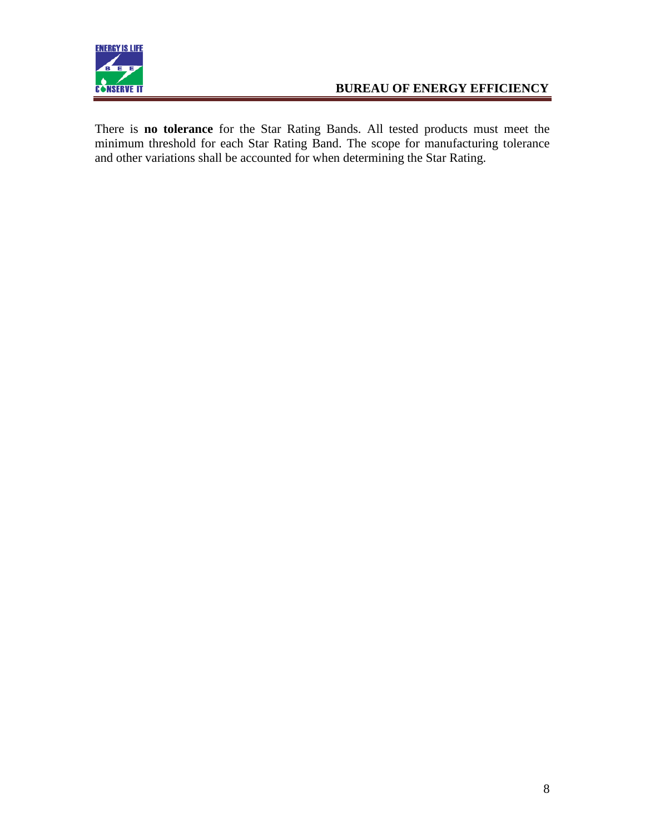

There is **no tolerance** for the Star Rating Bands. All tested products must meet the minimum threshold for each Star Rating Band. The scope for manufacturing tolerance and other variations shall be accounted for when determining the Star Rating.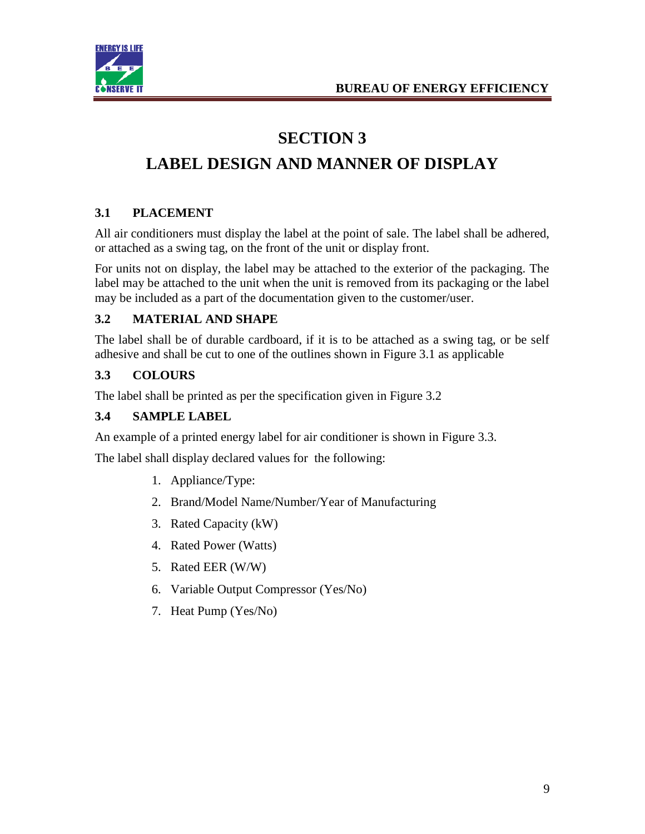

# **SECTION 3**

# **LABEL DESIGN AND MANNER OF DISPLAY**

#### **3.1 PLACEMENT**

All air conditioners must display the label at the point of sale. The label shall be adhered, or attached as a swing tag, on the front of the unit or display front.

For units not on display, the label may be attached to the exterior of the packaging. The label may be attached to the unit when the unit is removed from its packaging or the label may be included as a part of the documentation given to the customer/user.

#### **3.2 MATERIAL AND SHAPE**

The label shall be of durable cardboard, if it is to be attached as a swing tag, or be self adhesive and shall be cut to one of the outlines shown in Figure 3.1 as applicable

#### **3.3 COLOURS**

The label shall be printed as per the specification given in Figure 3.2

#### **3.4 SAMPLE LABEL**

An example of a printed energy label for air conditioner is shown in Figure 3.3.

The label shall display declared values for the following:

- 1. Appliance/Type:
- 2. Brand/Model Name/Number/Year of Manufacturing
- 3. Rated Capacity (kW)
- 4. Rated Power (Watts)
- 5. Rated EER (W/W)
- 6. Variable Output Compressor (Yes/No)
- 7. Heat Pump (Yes/No)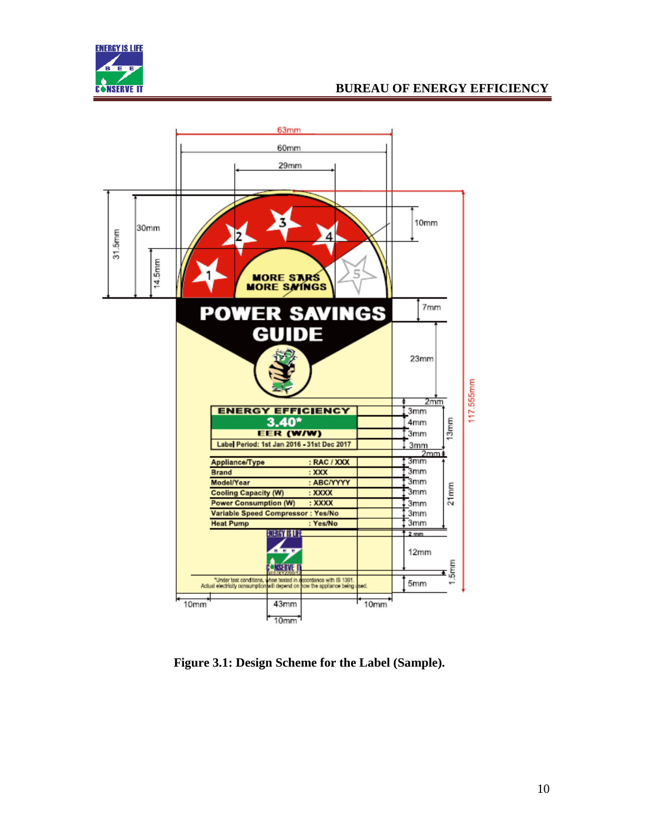



**Figure 3.1: Design Scheme for the Label (Sample).**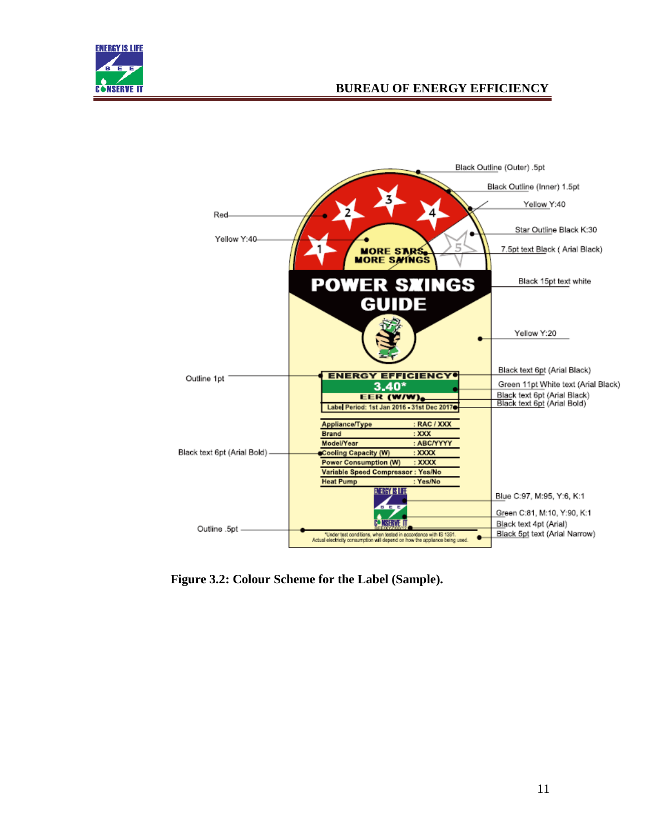



**Figure 3.2: Colour Scheme for the Label (Sample).**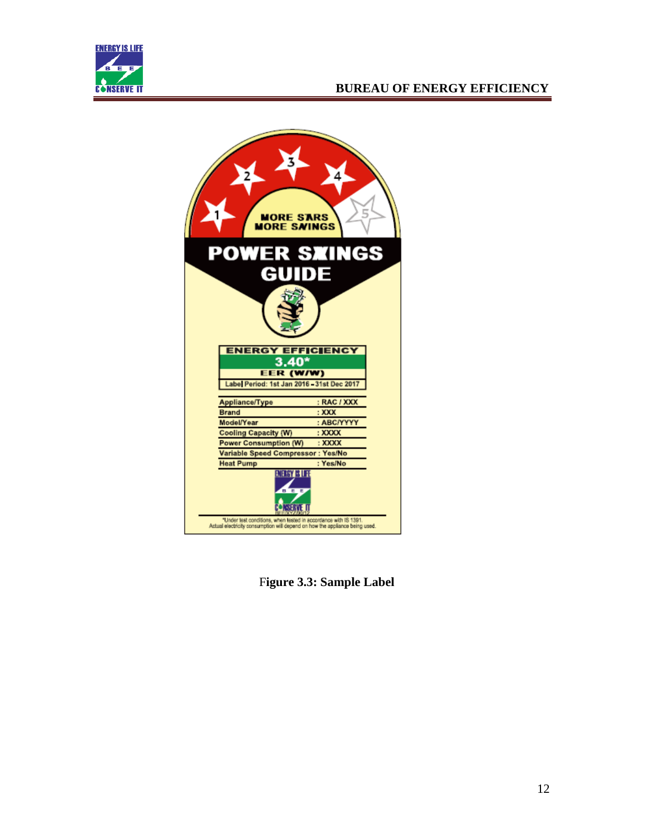



F**igure 3.3: Sample Label**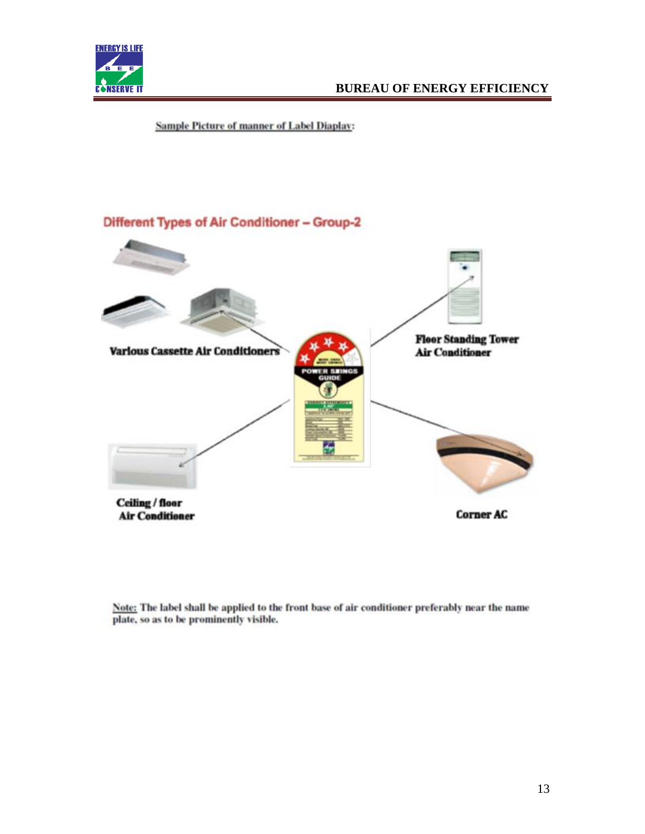

**Sample Picture of manner of Label Diaplay:** 



Note: The label shall be applied to the front base of air conditioner preferably near the name plate, so as to be prominently visible.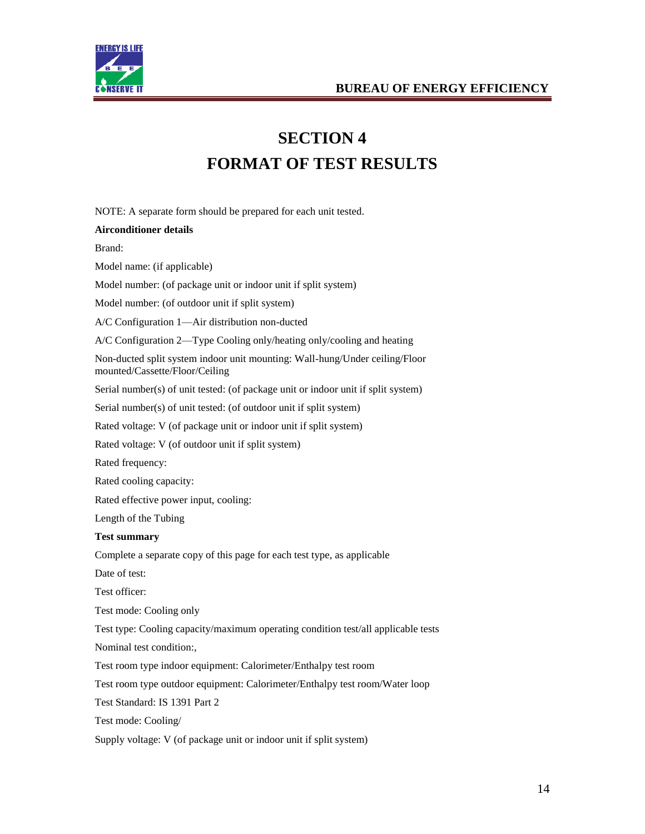



# **SECTION 4 FORMAT OF TEST RESULTS**

NOTE: A separate form should be prepared for each unit tested.

#### **Airconditioner details**

Brand:

Model name: (if applicable)

Model number: (of package unit or indoor unit if split system)

Model number: (of outdoor unit if split system)

A/C Configuration 1—Air distribution non-ducted

A/C Configuration 2—Type Cooling only/heating only/cooling and heating

Non-ducted split system indoor unit mounting: Wall-hung/Under ceiling/Floor mounted/Cassette/Floor/Ceiling

Serial number(s) of unit tested: (of package unit or indoor unit if split system)

Serial number(s) of unit tested: (of outdoor unit if split system)

Rated voltage: V (of package unit or indoor unit if split system)

Rated voltage: V (of outdoor unit if split system)

Rated frequency:

Rated cooling capacity:

Rated effective power input, cooling:

Length of the Tubing

#### **Test summary**

Complete a separate copy of this page for each test type, as applicable

Date of test:

Test officer:

Test mode: Cooling only

Test type: Cooling capacity/maximum operating condition test/all applicable tests

Nominal test condition:,

Test room type indoor equipment: Calorimeter/Enthalpy test room

Test room type outdoor equipment: Calorimeter/Enthalpy test room/Water loop

Test Standard: IS 1391 Part 2

Test mode: Cooling/

Supply voltage: V (of package unit or indoor unit if split system)